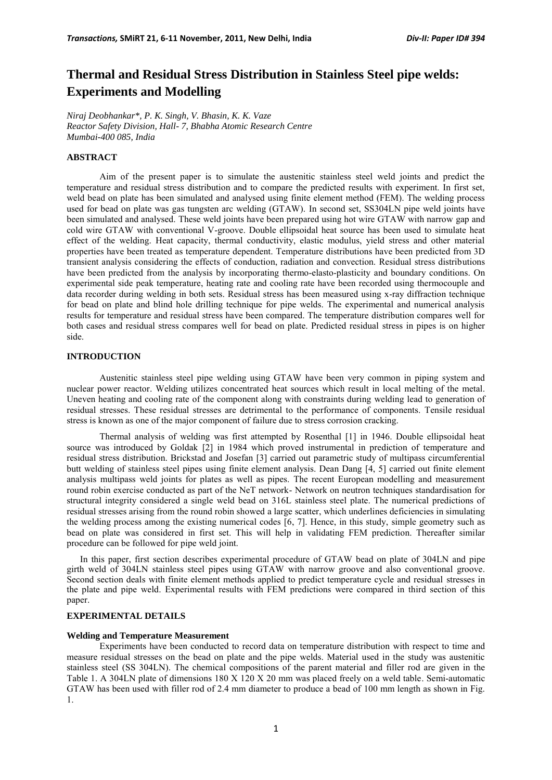# **Thermal and Residual Stress Distribution in Stainless Steel pipe welds: Experiments and Modelling**

*Niraj Deobhankar\*, P. K. Singh, V. Bhasin, K. K. Vaze Reactor Safety Division, Hall- 7, Bhabha Atomic Research Centre Mumbai-400 085, India* 

# **ABSTRACT**

Aim of the present paper is to simulate the austenitic stainless steel weld joints and predict the temperature and residual stress distribution and to compare the predicted results with experiment. In first set, weld bead on plate has been simulated and analysed using finite element method (FEM). The welding process used for bead on plate was gas tungsten arc welding (GTAW). In second set, SS304LN pipe weld joints have been simulated and analysed. These weld joints have been prepared using hot wire GTAW with narrow gap and cold wire GTAW with conventional V-groove. Double ellipsoidal heat source has been used to simulate heat effect of the welding. Heat capacity, thermal conductivity, elastic modulus, yield stress and other material properties have been treated as temperature dependent. Temperature distributions have been predicted from 3D transient analysis considering the effects of conduction, radiation and convection. Residual stress distributions have been predicted from the analysis by incorporating thermo-elasto-plasticity and boundary conditions. On experimental side peak temperature, heating rate and cooling rate have been recorded using thermocouple and data recorder during welding in both sets. Residual stress has been measured using x-ray diffraction technique for bead on plate and blind hole drilling technique for pipe welds. The experimental and numerical analysis results for temperature and residual stress have been compared. The temperature distribution compares well for both cases and residual stress compares well for bead on plate. Predicted residual stress in pipes is on higher side.

# **INTRODUCTION**

Austenitic stainless steel pipe welding using GTAW have been very common in piping system and nuclear power reactor. Welding utilizes concentrated heat sources which result in local melting of the metal. Uneven heating and cooling rate of the component along with constraints during welding lead to generation of residual stresses. These residual stresses are detrimental to the performance of components. Tensile residual stress is known as one of the major component of failure due to stress corrosion cracking.

Thermal analysis of welding was first attempted by Rosenthal [1] in 1946. Double ellipsoidal heat source was introduced by Goldak [2] in 1984 which proved instrumental in prediction of temperature and residual stress distribution. Brickstad and Josefan [3] carried out parametric study of multipass circumferential butt welding of stainless steel pipes using finite element analysis. Dean Dang [4, 5] carried out finite element analysis multipass weld joints for plates as well as pipes. The recent European modelling and measurement round robin exercise conducted as part of the NeT network- Network on neutron techniques standardisation for structural integrity considered a single weld bead on 316L stainless steel plate. The numerical predictions of residual stresses arising from the round robin showed a large scatter, which underlines deficiencies in simulating the welding process among the existing numerical codes [6, 7]. Hence, in this study, simple geometry such as bead on plate was considered in first set. This will help in validating FEM prediction. Thereafter similar procedure can be followed for pipe weld joint.

In this paper, first section describes experimental procedure of GTAW bead on plate of 304LN and pipe girth weld of 304LN stainless steel pipes using GTAW with narrow groove and also conventional groove. Second section deals with finite element methods applied to predict temperature cycle and residual stresses in the plate and pipe weld. Experimental results with FEM predictions were compared in third section of this paper.

# **EXPERIMENTAL DETAILS**

#### **Welding and Temperature Measurement**

Experiments have been conducted to record data on temperature distribution with respect to time and measure residual stresses on the bead on plate and the pipe welds. Material used in the study was austenitic stainless steel (SS 304LN). The chemical compositions of the parent material and filler rod are given in the Table 1. A 304LN plate of dimensions 180 X 120 X 20 mm was placed freely on a weld table. Semi-automatic GTAW has been used with filler rod of 2.4 mm diameter to produce a bead of 100 mm length as shown in Fig. 1.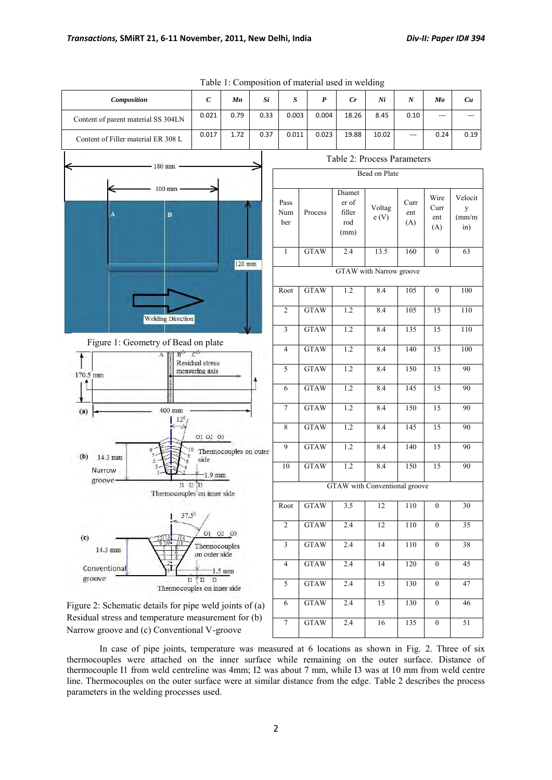| Composition                                                                                        | $\boldsymbol{C}$                         | Mn     | Si   | $\boldsymbol{S}$   | $\boldsymbol{P}$ | Cr                                       | Ni                   | N                  | Mo                         | Cu                                         |
|----------------------------------------------------------------------------------------------------|------------------------------------------|--------|------|--------------------|------------------|------------------------------------------|----------------------|--------------------|----------------------------|--------------------------------------------|
| Content of parent material SS 304LN                                                                | 0.021                                    | 0.79   | 0.33 | 0.003              | 0.004            | 18.26                                    | 8.45                 | 0.10               |                            |                                            |
| Content of Filler material ER 308 L                                                                | 0.017                                    | 1.72   | 0.37 | 0.011              | 0.023            | 19.88                                    | 10.02                |                    | 0.24                       | 0.19                                       |
| $-180$ mm                                                                                          |                                          |        |      |                    |                  | Table 2: Process Parameters              |                      |                    |                            |                                            |
|                                                                                                    |                                          |        |      |                    |                  |                                          | <b>Bead on Plate</b> |                    |                            |                                            |
| $100$ mm<br>A<br>$\, {\bf B}$                                                                      |                                          |        |      | Pass<br>Num<br>ber | Process          | Diamet<br>er of<br>filler<br>rod<br>(mm) | Voltag<br>e(V)       | Curr<br>ent<br>(A) | Wire<br>Curr<br>ent<br>(A) | Velocit<br>y<br>$\text{m}/\text{m}$<br>in) |
|                                                                                                    |                                          | 120 mm |      | $\mathbf{1}$       | <b>GTAW</b>      | 2.4                                      | 13.5                 | 160                | $\mathbf{0}$               | 63                                         |
|                                                                                                    |                                          |        |      |                    |                  | GTAW with Narrow groove                  |                      |                    |                            |                                            |
|                                                                                                    |                                          |        |      | Root               | <b>GTAW</b>      | 1.2                                      | 8.4                  | 105                | $\mathbf{0}$               | 100                                        |
| <b>Welding Direction</b>                                                                           |                                          |        |      | $\overline{c}$     | <b>GTAW</b>      | 1.2                                      | 8.4                  | 105                | 15                         | 110                                        |
|                                                                                                    |                                          |        |      | 3                  | <b>GTAW</b>      | 1.2                                      | 8.4                  | 135                | $\overline{15}$            | 110                                        |
| Figure 1: Geometry of Bead on plate<br>$B^{\circ}$ $C^{\circ}$<br>A                                |                                          |        |      | $\overline{4}$     | <b>GTAW</b>      | 1.2                                      | 8.4                  | 140                | $\overline{15}$            | 100                                        |
| 170.5 mm                                                                                           | <b>Residual stress</b><br>measuring axis |        |      | 5                  | <b>GTAW</b>      | 1.2                                      | 8.4                  | 150                | $\overline{15}$            | $\overline{90}$                            |
|                                                                                                    |                                          |        |      | 6                  | <b>GTAW</b>      | 1.2                                      | 8.4                  | 145                | 15                         | $\overline{90}$                            |
| 400 mm<br>(a)<br>$12^{0}$                                                                          |                                          |        |      | $\tau$             | <b>GTAW</b>      | 1.2                                      | 8.4                  | 150                | 15                         | 90                                         |
|                                                                                                    | O1 02 03                                 |        |      | 8                  | <b>GTAW</b>      | 1.2                                      | 8.4                  | 145                | 15                         | 90                                         |
| (b)<br>14.3 mm                                                                                     | Thermocouples on outer                   |        |      | 9                  | <b>GTAW</b>      | 1.2                                      | 8.4                  | 140                | 15                         | 90                                         |
| Narrow                                                                                             | side<br>$-1.9$ mm                        |        |      | 10                 | <b>GTAW</b>      | 1.2                                      | 8.4                  | 150                | 15                         | 90                                         |
| groove <sup>.</sup><br>$I1 \tI2 \tI3$<br>Thermocouples on inner side                               |                                          |        |      |                    |                  | GTAW with Conventional groove            |                      |                    |                            |                                            |
| 37.50                                                                                              |                                          |        |      | Root               | <b>GTAW</b>      | 3.5                                      | 12                   | 110                | $\theta$                   | 30                                         |
|                                                                                                    | 01 02 03                                 |        |      | $\overline{c}$     | <b>GTAW</b>      | 2.4                                      | $\overline{12}$      | 110                | $\overline{0}$             | $\overline{35}$                            |
| (c)<br>$\frac{12\sqrt{13}}{\sqrt{5}}$<br>14.3 mm                                                   | Thermocouples<br>on outer side           |        |      | $\mathfrak{Z}$     | <b>GTAW</b>      | 2.4                                      | 14                   | 110                | $\boldsymbol{0}$           | $\overline{38}$                            |
| Conventional                                                                                       | $-1.5$ mm                                |        |      | $\overline{4}$     | <b>GTAW</b>      | 2.4                                      | 14                   | 120                | $\overline{0}$             | $\overline{45}$                            |
| groove<br>Thermocouples on inner side                                                              | $11 \uparrow 12$<br>I3                   |        |      | 5                  | <b>GTAW</b>      | 2.4                                      | 15                   | 130                | $\boldsymbol{0}$           | 47                                         |
| Figure 2: Schematic details for pipe weld joints of (a)                                            |                                          |        |      | 6                  | <b>GTAW</b>      | 2.4                                      | 15                   | 130                | $\boldsymbol{0}$           | 46                                         |
| Residual stress and temperature measurement for (b)<br>Narrow groove and (c) Conventional V-groove |                                          |        |      | $\tau$             | <b>GTAW</b>      | 2.4                                      | 16                   | 135                | $\boldsymbol{0}$           | $\overline{51}$                            |

Table 1: Composition of material used in welding

In case of pipe joints, temperature was measured at 6 locations as shown in Fig. 2. Three of six thermocouples were attached on the inner surface while remaining on the outer surface. Distance of thermocouple I1 from weld centreline was 4mm; I2 was about 7 mm, while I3 was at 10 mm from weld centre line. Thermocouples on the outer surface were at similar distance from the edge. Table 2 describes the process parameters in the welding processes used.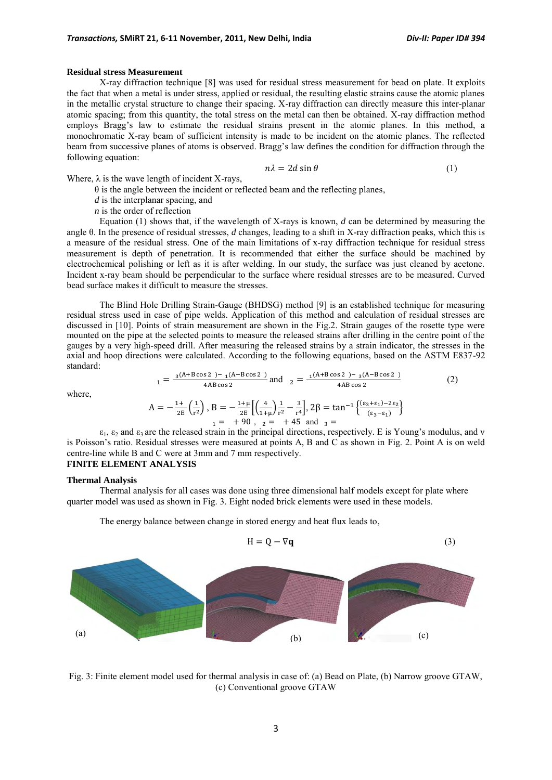#### **Residual stress Measurement**

X-ray diffraction technique [8] was used for residual stress measurement for bead on plate. It exploits the fact that when a metal is under stress, applied or residual, the resulting elastic strains cause the atomic planes in the metallic crystal structure to change their spacing. X-ray diffraction can directly measure this inter-planar atomic spacing; from this quantity, the total stress on the metal can then be obtained. X-ray diffraction method employs Bragg's law to estimate the residual strains present in the atomic planes. In this method, a monochromatic X-ray beam of sufficient intensity is made to be incident on the atomic planes. The reflected beam from successive planes of atoms is observed. Bragg's law defines the condition for diffraction through the following equation:

$$
n\lambda = 2d\sin\theta\tag{1}
$$

Where,  $\lambda$  is the wave length of incident X-rays,

 $\theta$  is the angle between the incident or reflected beam and the reflecting planes,

*d* is the interplanar spacing, and

*n* is the order of reflection

Equation (1) shows that, if the wavelength of X-rays is known, *d* can be determined by measuring the angle θ. In the presence of residual stresses, *d* changes, leading to a shift in X-ray diffraction peaks, which this is a measure of the residual stress. One of the main limitations of x-ray diffraction technique for residual stress measurement is depth of penetration. It is recommended that either the surface should be machined by electrochemical polishing or left as it is after welding. In our study, the surface was just cleaned by acetone. Incident x-ray beam should be perpendicular to the surface where residual stresses are to be measured. Curved bead surface makes it difficult to measure the stresses.

The Blind Hole Drilling Strain-Gauge (BHDSG) method [9] is an established technique for measuring residual stress used in case of pipe welds. Application of this method and calculation of residual stresses are discussed in [10]. Points of strain measurement are shown in the Fig.2. Strain gauges of the rosette type were mounted on the pipe at the selected points to measure the released strains after drilling in the centre point of the gauges by a very high-speed drill. After measuring the released strains by a strain indicator, the stresses in the axial and hoop directions were calculated. According to the following equations, based on the ASTM E837-92 standard:

$$
1 = \frac{{}_{3}(A+B\cos 2) - {}_{1}(A-B\cos 2)}{4AB\cos 2} \text{ and } \frac{1}{2} = \frac{{}_{1}(A+B\cos 2) - {}_{3}(A-B\cos 2)}{4AB\cos 2} \tag{2}
$$

where,

$$
A=-\frac{1+}{2E}\binom{1}{r^2}\,,\,B=-\frac{1+\mu}{2E}\biggl[\Bigl(\frac{4}{1+\mu}\Bigr)\frac{1}{r^2}-\frac{3}{r^4}\biggr],\,2\beta=\tan^{-1}\Bigl\{\frac{(\epsilon_3+\epsilon_1)-2\epsilon_2}{(\epsilon_3-\epsilon_1)}\Bigr\}\\1= \ +\ 90\ ,\ \ _2= \ +\ 45\ \ \text{and}\ \ _3=
$$

 $\varepsilon_1$ ,  $\varepsilon_2$  and  $\varepsilon_3$  are the released strain in the principal directions, respectively. E is Young's modulus, and v is Poisson's ratio. Residual stresses were measured at points A, B and C as shown in Fig. 2. Point A is on weld centre-line while B and C were at 3mm and 7 mm respectively.

# **FINITE ELEMENT ANALYSIS**

#### **Thermal Analysis**

Thermal analysis for all cases was done using three dimensional half models except for plate where quarter model was used as shown in Fig. 3. Eight noded brick elements were used in these models.

The energy balance between change in stored energy and heat flux leads to,



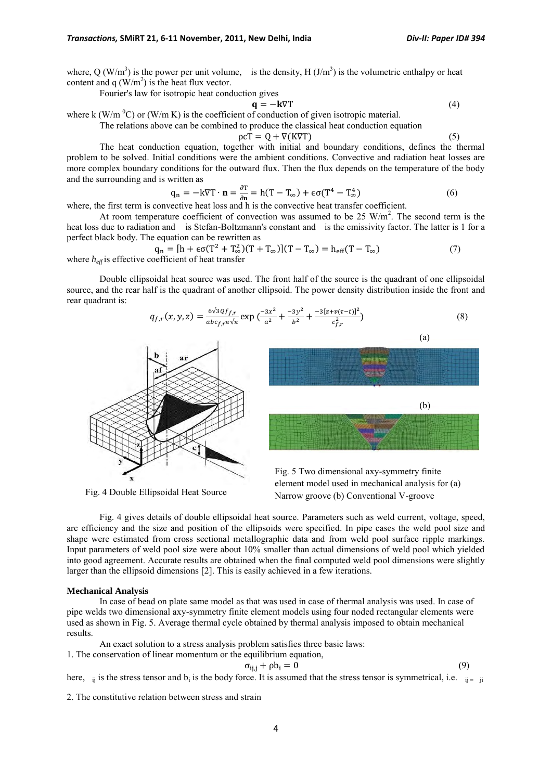where, Q (W/m<sup>3</sup>) is the power per unit volume, is the density, H (J/m<sup>3</sup>) is the volumetric enthalpy or heat content and q  $(W/m^2)$  is the heat flux vector.

Fourier's law for isotropic heat conduction gives

$$
\mathbf{q} = -\mathbf{k}\nabla\mathbf{T} \tag{4}
$$

where k (W/m  $^0$ C) or (W/m K) is the coefficient of conduction of given isotropic material.

The relations above can be combined to produce the classical heat conduction equation

$$
\rho c \dot{T} = Q + \nabla (K \nabla T) \tag{5}
$$

The heat conduction equation, together with initial and boundary conditions, defines the thermal problem to be solved. Initial conditions were the ambient conditions. Convective and radiation heat losses are more complex boundary conditions for the outward flux. Then the flux depends on the temperature of the body and the surrounding and is written as

$$
q_n = -k\nabla T \cdot \mathbf{n} = \frac{\partial T}{\partial n} = h(T - T_{\infty}) + \epsilon \sigma (T^4 - T_{\infty}^4)
$$
(6)

where, the first term is convective heat loss and h is the convective heat transfer coefficient.

At room temperature coefficient of convection was assumed to be 25  $W/m<sup>2</sup>$ . The second term is the heat loss due to radiation and is Stefan-Boltzmann's constant and is the emissivity factor. The latter is 1 for a perfect black body. The equation can be rewritten as

$$
q_n = [h + \epsilon \sigma (T^2 + T_{\infty}^2)(T + T_{\infty})](T - T_{\infty}) = h_{eff}(T - T_{\infty})
$$
(7)  
*h<sub>ar</sub>* is effective coefficient of heat transfer

where  $h_{\text{eff}}$  is effective coef

Double ellipsoidal heat source was used. The front half of the source is the quadrant of one ellipsoidal source, and the rear half is the quadrant of another ellipsoid. The power density distribution inside the front and rear quadrant is:

$$
q_{f,r}(x,y,z) = \frac{6\sqrt{30f_{fr}}}{abc_{f,r}\pi\sqrt{\pi}} \exp\left(\frac{-3x^2}{a^2} + \frac{-3y^2}{b^2} + \frac{-3[z+v(\tau-t)]^2}{c_{f,r}^2}\right)
$$
(8)



Fig. 4 Double Ellipsoidal Heat Source



Fig. 5 Two dimensional axy-symmetry finite element model used in mechanical analysis for (a) Narrow groove (b) Conventional V-groove

Fig. 4 gives details of double ellipsoidal heat source. Parameters such as weld current, voltage, speed, arc efficiency and the size and position of the ellipsoids were specified. In pipe cases the weld pool size and shape were estimated from cross sectional metallographic data and from weld pool surface ripple markings. Input parameters of weld pool size were about 10% smaller than actual dimensions of weld pool which yielded into good agreement. Accurate results are obtained when the final computed weld pool dimensions were slightly larger than the ellipsoid dimensions [2]. This is easily achieved in a few iterations.

#### **Mechanical Analysis**

In case of bead on plate same model as that was used in case of thermal analysis was used. In case of pipe welds two dimensional axy-symmetry finite element models using four noded rectangular elements were used as shown in Fig. 5. Average thermal cycle obtained by thermal analysis imposed to obtain mechanical results.

An exact solution to a stress analysis problem satisfies three basic laws:

1. The conservation of linear momentum or the equilibrium equation,

$$
\sigma_{i j, j} + \rho b_i = 0 \tag{9}
$$

here,  $\eta$  is the stress tensor and  $b_i$  is the body force. It is assumed that the stress tensor is symmetrical, i.e.  $\eta = \eta$ 

2. The constitutive relation between stress and strain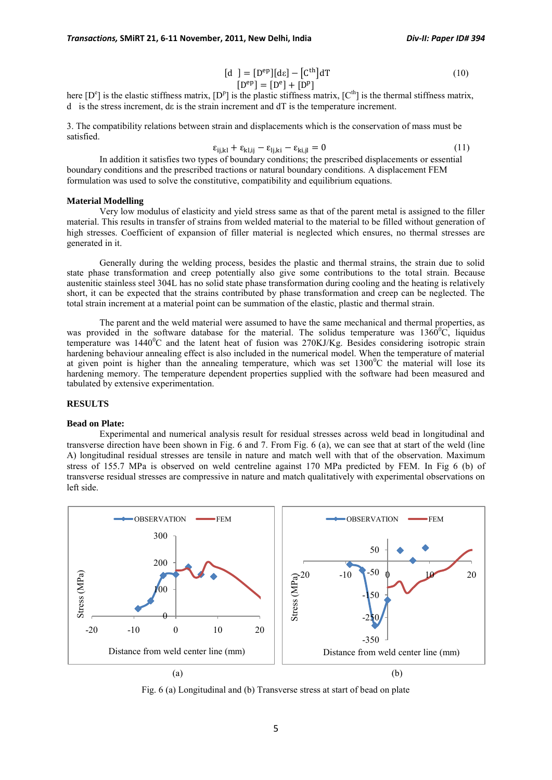$$
[d] = [Dep][d\varepsilon] - [Cth]dT
$$
\n(10)

$$
[D^{ep}] = [D^e] + [D^p]
$$

here  $[D^e]$  is the elastic stiffness matrix,  $[D^P]$  is the plastic stiffness matrix,  $[C^{\text{th}}]$  is the thermal stiffness matrix, d is the stress increment, dε is the strain increment and dT is the temperature increment.

3. The compatibility relations between strain and displacements which is the conservation of mass must be satisfied.

$$
\varepsilon_{i,j,kl} + \varepsilon_{kl,ij} - \varepsilon_{l,j,kl} - \varepsilon_{ki,jl} = 0 \tag{11}
$$

In addition it satisfies two types of boundary conditions; the prescribed displacements or essential boundary conditions and the prescribed tractions or natural boundary conditions. A displacement FEM formulation was used to solve the constitutive, compatibility and equilibrium equations.

# **Material Modelling**

Very low modulus of elasticity and yield stress same as that of the parent metal is assigned to the filler material. This results in transfer of strains from welded material to the material to be filled without generation of high stresses. Coefficient of expansion of filler material is neglected which ensures, no thermal stresses are generated in it.

Generally during the welding process, besides the plastic and thermal strains, the strain due to solid state phase transformation and creep potentially also give some contributions to the total strain. Because austenitic stainless steel 304L has no solid state phase transformation during cooling and the heating is relatively short, it can be expected that the strains contributed by phase transformation and creep can be neglected. The total strain increment at a material point can be summation of the elastic, plastic and thermal strain.

The parent and the weld material were assumed to have the same mechanical and thermal properties, as was provided in the software database for the material. The solidus temperature was  $1360^{\circ}$ C, liquidus temperature was  $1440^{\circ}$ C and the latent heat of fusion was  $270KJ/Kg$ . Besides considering isotropic strain hardening behaviour annealing effect is also included in the numerical model. When the temperature of material at given point is higher than the annealing temperature, which was set  $1300^{\circ}$ C the material will lose its hardening memory. The temperature dependent properties supplied with the software had been measured and tabulated by extensive experimentation.

## **RESULTS**

#### **Bead on Plate:**

Experimental and numerical analysis result for residual stresses across weld bead in longitudinal and transverse direction have been shown in Fig. 6 and 7. From Fig. 6 (a), we can see that at start of the weld (line A) longitudinal residual stresses are tensile in nature and match well with that of the observation. Maximum stress of 155.7 MPa is observed on weld centreline against 170 MPa predicted by FEM. In Fig 6 (b) of transverse residual stresses are compressive in nature and match qualitatively with experimental observations on left side.



Fig. 6 (a) Longitudinal and (b) Transverse stress at start of bead on plate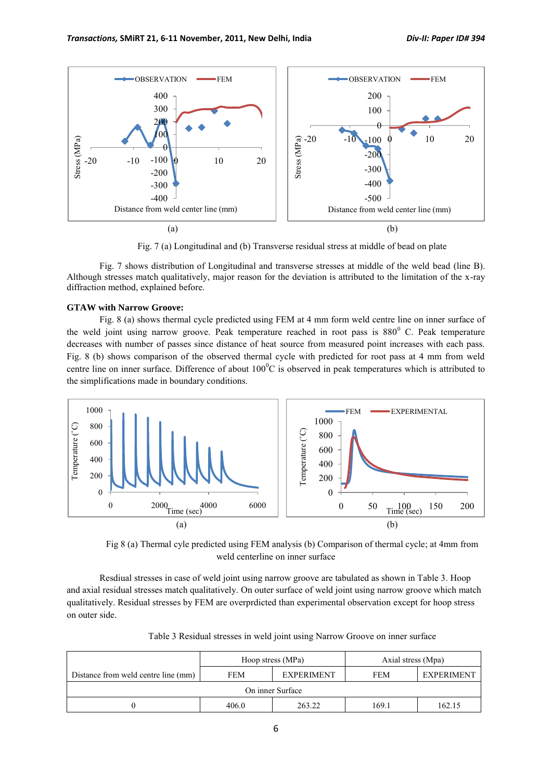

Fig. 7 (a) Longitudinal and (b) Transverse residual stress at middle of bead on plate

Fig. 7 shows distribution of Longitudinal and transverse stresses at middle of the weld bead (line B). Although stresses match qualitatively, major reason for the deviation is attributed to the limitation of the x-ray diffraction method, explained before.

#### **GTAW with Narrow Groove:**

Fig. 8 (a) shows thermal cycle predicted using FEM at 4 mm form weld centre line on inner surface of the weld joint using narrow groove. Peak temperature reached in root pass is  $880^{\circ}$  C. Peak temperature decreases with number of passes since distance of heat source from measured point increases with each pass. Fig. 8 (b) shows comparison of the observed thermal cycle with predicted for root pass at 4 mm from weld centre line on inner surface. Difference of about  $100^{\circ}$ C is observed in peak temperatures which is attributed to the simplifications made in boundary conditions.



Fig 8 (a) Thermal cyle predicted using FEM analysis (b) Comparison of thermal cycle; at 4mm from weld centerline on inner surface

Resdiual stresses in case of weld joint using narrow groove are tabulated as shown in Table 3. Hoop and axial residual stresses match qualitatively. On outer surface of weld joint using narrow groove which match qualitatively. Residual stresses by FEM are overprdicted than experimental observation except for hoop stress on outer side.

|                                     |            | Hoop stress (MPa) | Axial stress (Mpa) |                   |  |  |  |
|-------------------------------------|------------|-------------------|--------------------|-------------------|--|--|--|
| Distance from weld centre line (mm) | <b>FEM</b> | <b>EXPERIMENT</b> | <b>FEM</b>         | <b>EXPERIMENT</b> |  |  |  |
| On inner Surface                    |            |                   |                    |                   |  |  |  |
|                                     | 406.0      | 263.22            | 169.1              | 162.15            |  |  |  |

Table 3 Residual stresses in weld joint using Narrow Groove on inner surface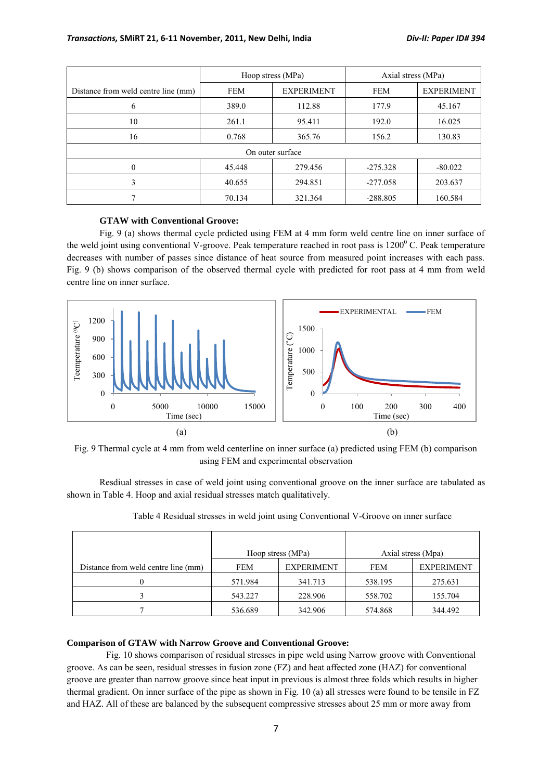|                                     |            | Hoop stress (MPa) | Axial stress (MPa) |                   |  |  |  |  |
|-------------------------------------|------------|-------------------|--------------------|-------------------|--|--|--|--|
| Distance from weld centre line (mm) | <b>FEM</b> | <b>EXPERIMENT</b> | <b>FEM</b>         | <b>EXPERIMENT</b> |  |  |  |  |
| 6                                   | 389.0      | 112.88            | 177.9              | 45.167            |  |  |  |  |
| 10                                  | 261.1      | 95.411            | 192.0              | 16.025            |  |  |  |  |
| 16                                  | 0.768      | 365.76            | 156.2              | 130.83            |  |  |  |  |
| On outer surface                    |            |                   |                    |                   |  |  |  |  |
| 0                                   | 45.448     | 279.456           | $-275.328$         | $-80.022$         |  |  |  |  |
| 3                                   | 40.655     | 294.851           | $-277.058$         | 203.637           |  |  |  |  |
|                                     | 70.134     | 321.364           | $-288.805$         | 160.584           |  |  |  |  |

# **GTAW with Conventional Groove:**

Fig. 9 (a) shows thermal cycle prdicted using FEM at 4 mm form weld centre line on inner surface of the weld joint using conventional V-groove. Peak temperature reached in root pass is  $1200^{\circ}$  C. Peak temperature decreases with number of passes since distance of heat source from measured point increases with each pass. Fig. 9 (b) shows comparison of the observed thermal cycle with predicted for root pass at 4 mm from weld centre line on inner surface.



Fig. 9 Thermal cycle at 4 mm from weld centerline on inner surface (a) predicted using FEM (b) comparison using FEM and experimental observation

Resdiual stresses in case of weld joint using conventional groove on the inner surface are tabulated as shown in Table 4. Hoop and axial residual stresses match qualitatively.

|                                     |         | Hoop stress (MPa) | Axial stress (Mpa) |                   |  |
|-------------------------------------|---------|-------------------|--------------------|-------------------|--|
| Distance from weld centre line (mm) | FEM     | <b>EXPERIMENT</b> | <b>FEM</b>         | <b>EXPERIMENT</b> |  |
|                                     | 571.984 | 341.713           | 538.195            | 275.631           |  |
|                                     | 543.227 | 228.906           | 558.702            | 155.704           |  |
|                                     | 536.689 | 342.906           | 574.868            | 344.492           |  |

Table 4 Residual stresses in weld joint using Conventional V-Groove on inner surface

# **Comparison of GTAW with Narrow Groove and Conventional Groove:**

Fig. 10 shows comparison of residual stresses in pipe weld using Narrow groove with Conventional groove. As can be seen, residual stresses in fusion zone (FZ) and heat affected zone (HAZ) for conventional groove are greater than narrow groove since heat input in previous is almost three folds which results in higher thermal gradient. On inner surface of the pipe as shown in Fig. 10 (a) all stresses were found to be tensile in FZ and HAZ. All of these are balanced by the subsequent compressive stresses about 25 mm or more away from